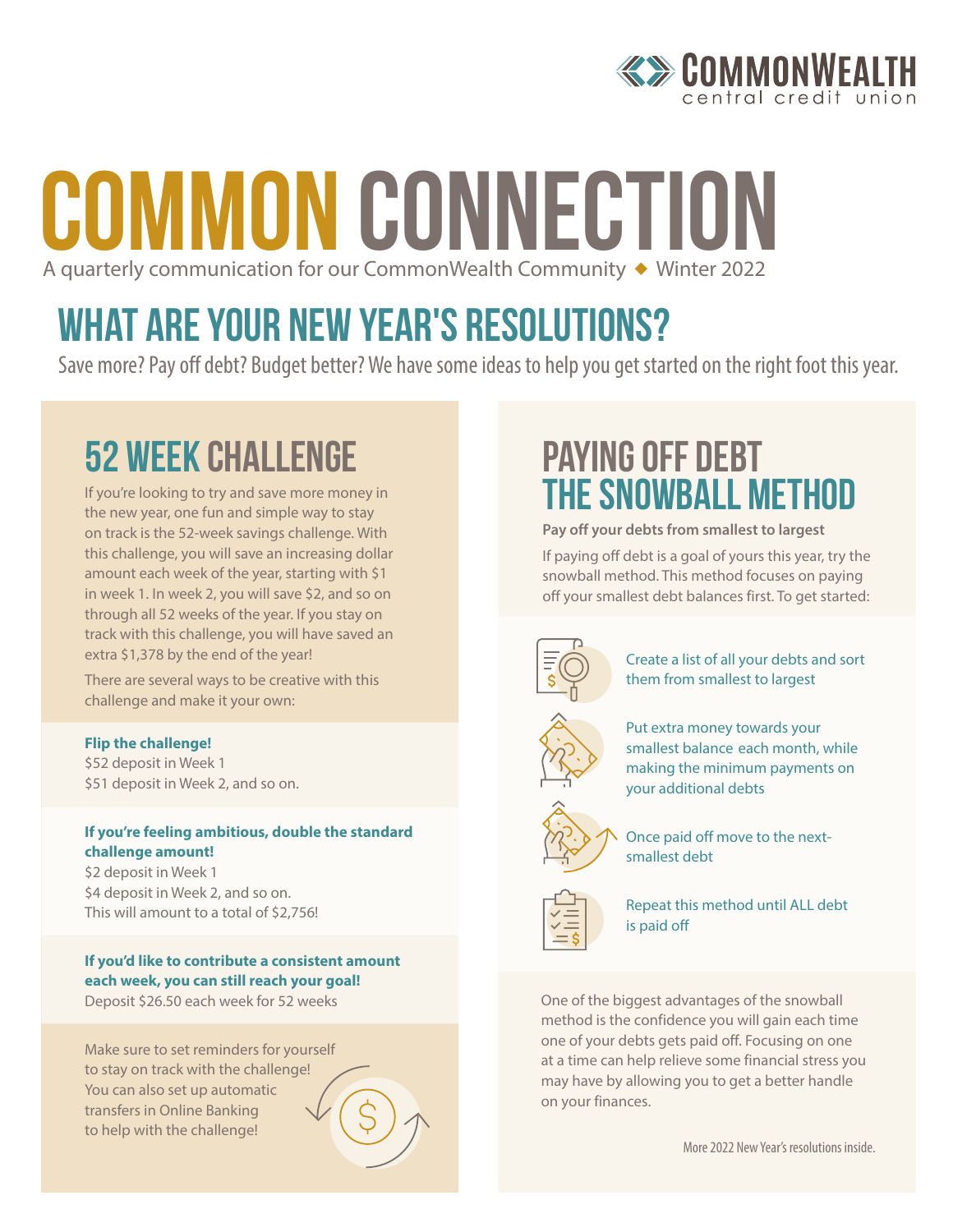

## COMMON CONNECTION A quarterly communication for our CommonWealth Community  $\triangleq$  Winter 2022

## WHAT ARE YOUR NEW YEAR'S RESOLUTIONS?

Save more? Pay off debt? Budget better? We have some ideas to help you get started on the right foot this year.

## 52 week Challenge

If you're looking to try and save more money in the new year, one fun and simple way to stay on track is the 52-week savings challenge. With this challenge, you will save an increasing dollar amount each week of the year, starting with \$1 in week 1. In week 2, you will save \$2, and so on through all 52 weeks of the year. If you stay on track with this challenge, you will have saved an extra \$1,378 by the end of the year!

There are several ways to be creative with this challenge and make it your own:

#### **Flip the challenge!**

\$52 deposit in Week 1 \$51 deposit in Week 2, and so on.

#### **If you're feeling ambitious, double the standard challenge amount!**

\$2 deposit in Week 1 \$4 deposit in Week 2, and so on. This will amount to a total of \$2,756!

#### **If you'd like to contribute a consistent amount each week, you can still reach your goal!**

Deposit \$26.50 each week for 52 weeks

Make sure to set reminders for yourself to stay on track with the challenge! You can also set up automatic transfers in Online Banking to help with the challenge!

## Paying off debt the snowball method

#### **Pay off your debts from smallest to largest**

If paying off debt is a goal of yours this year, try the snowball method. This method focuses on paying off your smallest debt balances first. To get started:



Create a list of all your debts and sort them from smallest to largest



Put extra money towards your smallest balance each month, while making the minimum payments on your additional debts



Once paid off move to the nextsmallest debt



Repeat this method until ALL debt is paid off

One of the biggest advantages of the snowball method is the confidence you will gain each time one of your debts gets paid off. Focusing on one at a time can help relieve some financial stress you may have by allowing you to get a better handle on your finances.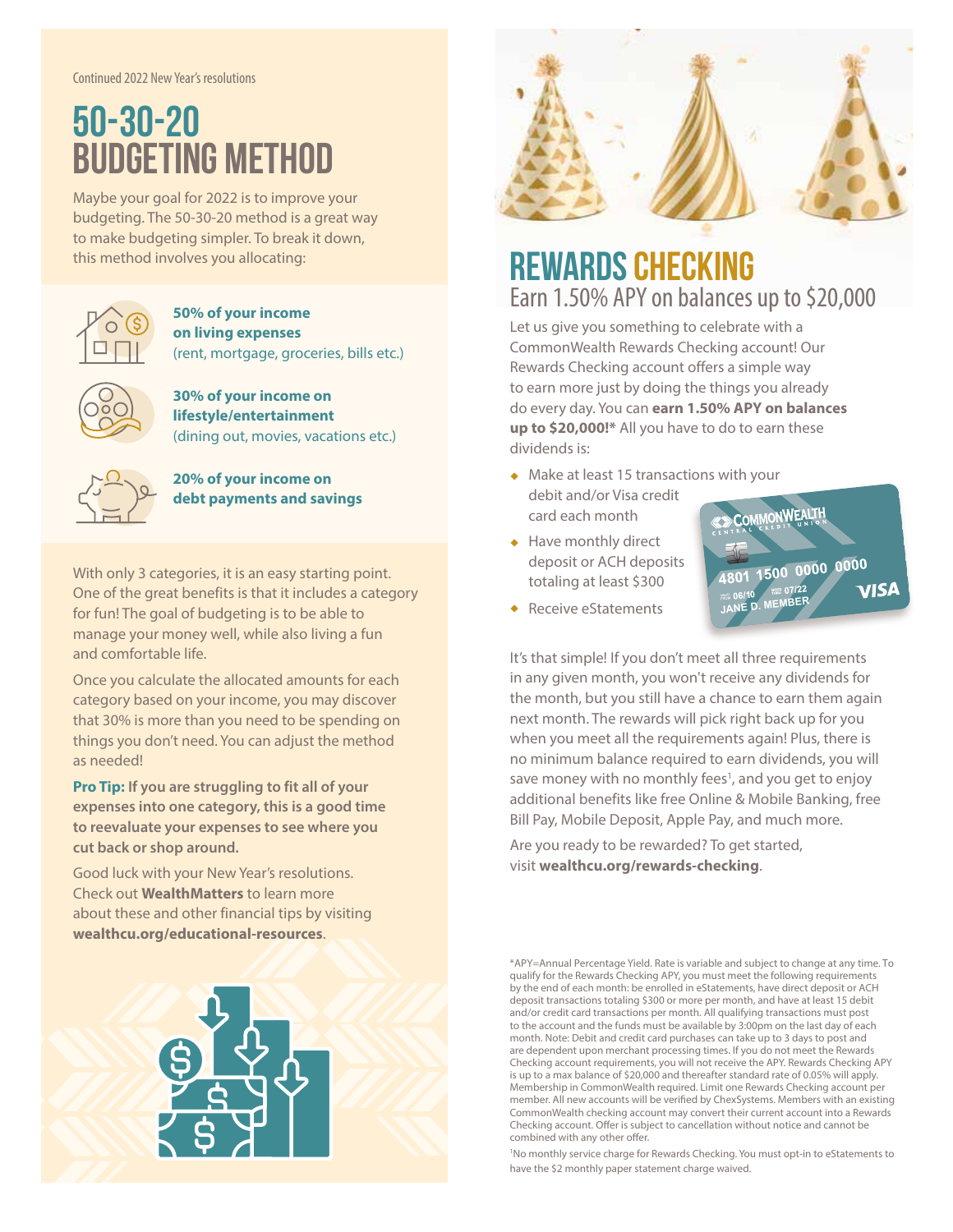Continued 2022 New Year's resolutions

## 50-30-20 Budgeting method

Maybe your goal for 2022 is to improve your budgeting. The 50-30-20 method is a great way to make budgeting simpler. To break it down, this method involves you allocating:



#### **50% of your income on living expenses** (rent, mortgage, groceries, bills etc.)

**30% of your income on lifestyle/entertainment**  (dining out, movies, vacations etc.)



**20% of your income on debt payments and savings**

With only 3 categories, it is an easy starting point. One of the great benefits is that it includes a category for fun! The goal of budgeting is to be able to manage your money well, while also living a fun and comfortable life.

Once you calculate the allocated amounts for each category based on your income, you may discover that 30% is more than you need to be spending on things you don't need. You can adjust the method as needed!

**Pro Tip: If you are struggling to fit all of your expenses into one category, this is a good time to reevaluate your expenses to see where you cut back or shop around.** 

Good luck with your New Year's resolutions. Check out **WealthMatters** to learn more about these and other financial tips by visiting **wealthcu.org/educational-resources**.





### **REWARDS CHECKING** Earn 1.50% APY on balances up to \$20,000

Let us give you something to celebrate with a CommonWealth Rewards Checking account! Our Rewards Checking account offers a simple way to earn more just by doing the things you already do every day. You can **earn 1.50% APY on balances up to \$20,000!\*** All you have to do to earn these dividends is:

- $\triangleleft$  Make at least 15 transactions with your debit and/or Visa credit card each month
- $\leftarrow$  Have monthly direct deposit or ACH deposits totaling at least \$300



 $\triangleleft$  Receive eStatements

It's that simple! If you don't meet all three requirements in any given month, you won't receive any dividends for the month, but you still have a chance to earn them again next month. The rewards will pick right back up for you when you meet all the requirements again! Plus, there is no minimum balance required to earn dividends, you will save money with no monthly fees<sup>1</sup>, and you get to enjoy additional benefits like free Online & Mobile Banking, free Bill Pay, Mobile Deposit, Apple Pay, and much more.

Are you ready to be rewarded? To get started, visit **wealthcu.org/rewards-checking**.

\*APY=Annual Percentage Yield. Rate is variable and subject to change at any time. To qualify for the Rewards Checking APY, you must meet the following requirements by the end of each month: be enrolled in eStatements, have direct deposit or ACH deposit transactions totaling \$300 or more per month, and have at least 15 debit and/or credit card transactions per month. All qualifying transactions must post to the account and the funds must be available by 3:00pm on the last day of each month. Note: Debit and credit card purchases can take up to 3 days to post and are dependent upon merchant processing times. If you do not meet the Rewards Checking account requirements, you will not receive the APY. Rewards Checking APY is up to a max balance of \$20,000 and thereafter standard rate of 0.05% will apply. Membership in CommonWealth required. Limit one Rewards Checking account per member. All new accounts will be verified by ChexSystems. Members with an existing CommonWealth checking account may convert their current account into a Rewards Checking account. Offer is subject to cancellation without notice and cannot be combined with any other offer.

<sup>1</sup>No monthly service charge for Rewards Checking. You must opt-in to eStatements to have the \$2 monthly paper statement charge waived.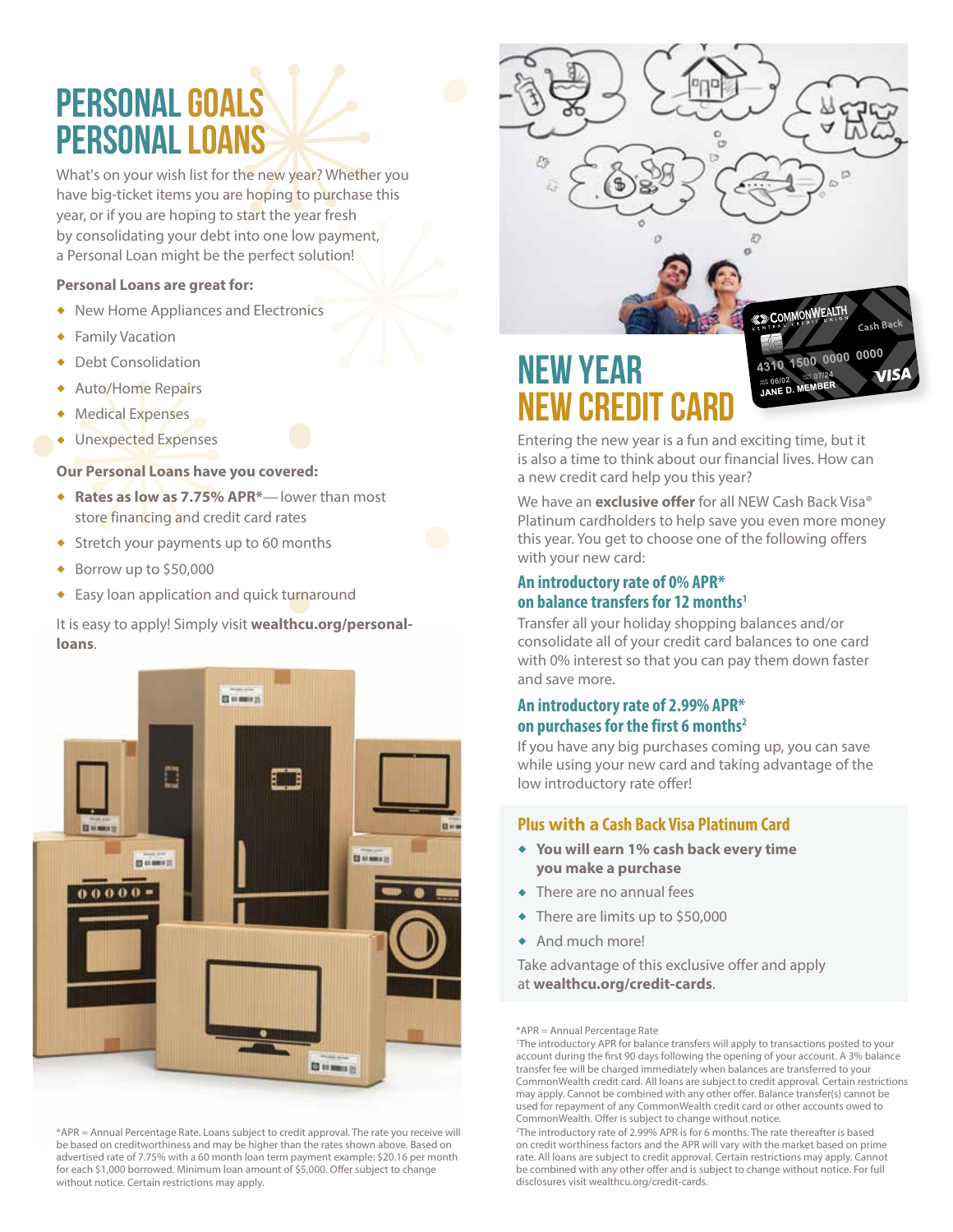## Personal goals Personal loans

What's on your wish list for the new year? Whether you have big-ticket items you are hoping to purchase this year, or if you are hoping to start the year fresh by consolidating your debt into one low payment, a Personal Loan might be the perfect solution!

#### **Personal Loans are great for:**

- New Home Appliances and Electronics
- **+** Family Vacation
- Debt Consolidation
- $\triangleleft$  Auto/Home Repairs
- $\triangleleft$  Medical Expenses
- Unexpected Expenses

#### **Our Personal Loans have you covered:**

- ◆ Rates as low as 7.75% APR<sup>\*</sup>—lower than most store financing and credit card rates
- $\triangleleft$  Stretch your payments up to 60 months
- $\triangleleft$  Borrow up to \$50,000
- ◆ Easy loan application and quick turnaround

It is easy to apply! Simply visit **wealthcu.org/personalloans**.



\*APR = Annual Percentage Rate. Loans subject to credit approval. The rate you receive will be based on creditworthiness and may be higher than the rates shown above. Based on advertised rate of 7.75% with a 60 month loan term payment example: \$20.16 per month for each \$1,000 borrowed. Minimum loan amount of \$5,000. Offer subject to change without notice. Certain restrictions may apply.

# New year new credit card

Entering the new year is a fun and exciting time, but it is also a time to think about our financial lives. How can a new credit card help you this year?

COMMONWEALTH

**124**<br>JANE D. MEMBER

4310 1500 0000 0000

 $cash$ 

**MIS** 

We have an **exclusive offer** for all NEW Cash Back Visa® Platinum cardholders to help save you even more money this year. You get to choose one of the following offers with your new card:

#### **An introductory rate of 0% APR\* on balance transfers for 12 months1**

Transfer all your holiday shopping balances and/or consolidate all of your credit card balances to one card with 0% interest so that you can pay them down faster and save more.

#### **An introductory rate of 2.99% APR\* on purchases for the first 6 months2**

If you have any big purchases coming up, you can save while using your new card and taking advantage of the low introductory rate offer!

#### **Plus with a Cash Back Visa Platinum Card**

- ◆ You will earn 1% cash back every time **you make a purchase**
- $\triangle$  There are no annual fees
- $\bullet$  There are limits up to \$50,000
- $\triangleleft$  And much more!

Take advantage of this exclusive offer and apply at **wealthcu.org/credit-cards**.

\*APR = Annual Percentage Rate

<sup>1</sup> The introductory APR for balance transfers will apply to transactions posted to your account during the first 90 days following the opening of your account. A 3% balance transfer fee will be charged immediately when balances are transferred to your CommonWealth credit card. All loans are subject to credit approval. Certain restrictions may apply. Cannot be combined with any other offer. Balance transfer(s) cannot be used for repayment of any CommonWealth credit card or other accounts owed to CommonWealth. Offer is subject to change without notice.

<sup>2</sup> The introductory rate of 2.99% APR is for 6 months. The rate thereafter is based on credit worthiness factors and the APR will vary with the market based on prime rate. All loans are subject to credit approval. Certain restrictions may apply. Cannot be combined with any other offer and is subject to change without notice. For full disclosures visit wealthcu.org/credit-cards.